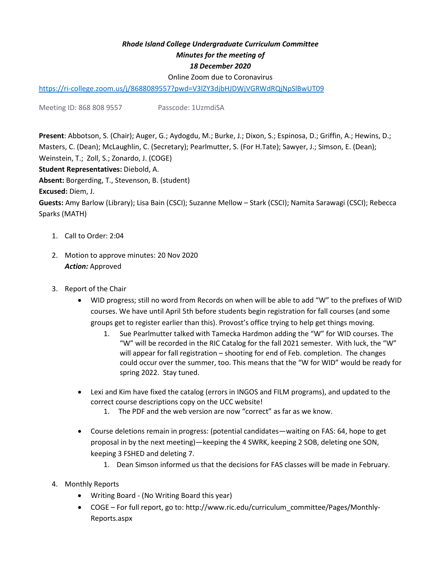# *Rhode Island College Undergraduate Curriculum Committee Minutes for the meeting of 18 December 2020*

Online Zoom due to Coronavirus

<https://ri-college.zoom.us/j/8688089557?pwd=V3lZY3djbHJDWjVGRWdRQjNpSlBwUT09>

Meeting ID: 868 808 9557 Passcode: 1UzmdiSA

**Present**: Abbotson, S. (Chair); Auger, G.; Aydogdu, M.; Burke, J.; Dixon, S.; Espinosa, D.; Griffin, A.; Hewins, D.; Masters, C. (Dean); McLaughlin, C. (Secretary); Pearlmutter, S. (For H.Tate); Sawyer, J.; Simson, E. (Dean); Weinstein, T.; Zoll, S.; Zonardo, J. (COGE)

**Student Representatives:** Diebold, A.

**Absent:** Borgerding, T., Stevenson, B. (student)

**Excused:** Diem, J.

**Guests:** Amy Barlow (Library); Lisa Bain (CSCI); Suzanne Mellow – Stark (CSCI); Namita Sarawagi (CSCI); Rebecca Sparks (MATH)

- 1. Call to Order: 2:04
- 2. Motion to approve minutes: 20 Nov 2020 *Action:* Approved
- 3. Report of the Chair
	- WID progress; still no word from Records on when will be able to add "W" to the prefixes of WID courses. We have until April 5th before students begin registration for fall courses (and some groups get to register earlier than this). Provost's office trying to help get things moving.
		- 1. Sue Pearlmutter talked with Tamecka Hardmon adding the "W" for WID courses. The "W" will be recorded in the RIC Catalog for the fall 2021 semester. With luck, the "W" will appear for fall registration – shooting for end of Feb. completion. The changes could occur over the summer, too. This means that the "W for WID" would be ready for spring 2022. Stay tuned.
	- Lexi and Kim have fixed the catalog (errors in INGOS and FILM programs), and updated to the correct course descriptions copy on the UCC website!
		- 1. The PDF and the web version are now "correct" as far as we know.
	- Course deletions remain in progress: (potential candidates—waiting on FAS: 64, hope to get proposal in by the next meeting)—keeping the 4 SWRK, keeping 2 SOB, deleting one SON, keeping 3 FSHED and deleting 7.
		- 1. Dean Simson informed us that the decisions for FAS classes will be made in February.
- 4. Monthly Reports
	- Writing Board (No Writing Board this year)
	- COGE For full report, go to: http://www.ric.edu/curriculum\_committee/Pages/Monthly-Reports.aspx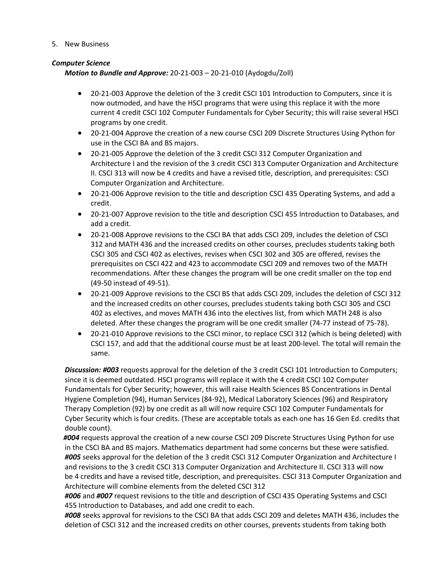#### 5. New Business

#### *Computer Science*

#### *Motion to Bundle and Approve:* 20-21-003 – 20-21-010 (Aydogdu/Zoll)

- 20-21-003 Approve the deletion of the 3 credit CSCI 101 Introduction to Computers, since it is now outmoded, and have the HSCI programs that were using this replace it with the more current 4 credit CSCI 102 Computer Fundamentals for Cyber Security; this will raise several HSCI programs by one credit.
- 20-21-004 Approve the creation of a new course CSCI 209 Discrete Structures Using Python for use in the CSCI BA and BS majors.
- 20-21-005 Approve the deletion of the 3 credit CSCI 312 Computer Organization and Architecture I and the revision of the 3 credit CSCI 313 Computer Organization and Architecture II. CSCI 313 will now be 4 credits and have a revised title, description, and prerequisites: CSCI Computer Organization and Architecture.
- 20-21-006 Approve revision to the title and description CSCI 435 Operating Systems, and add a credit.
- 20-21-007 Approve revision to the title and description CSCI 455 Introduction to Databases, and add a credit.
- 20-21-008 Approve revisions to the CSCI BA that adds CSCI 209, includes the deletion of CSCI 312 and MATH 436 and the increased credits on other courses, precludes students taking both CSCI 305 and CSCI 402 as electives, revises when CSCI 302 and 305 are offered, revises the prerequisites on CSCI 422 and 423 to accommodate CSCI 209 and removes two of the MATH recommendations. After these changes the program will be one credit smaller on the top end (49-50 instead of 49-51).
- 20-21-009 Approve revisions to the CSCI BS that adds CSCI 209, includes the deletion of CSCI 312 and the increased credits on other courses, precludes students taking both CSCI 305 and CSCI 402 as electives, and moves MATH 436 into the electives list, from which MATH 248 is also deleted. After these changes the program will be one credit smaller (74-77 instead of 75-78).
- 20-21-010 Approve revisions to the CSCI minor, to replace CSCI 312 (which is being deleted) with CSCI 157, and add that the additional course must be at least 200-level. The total will remain the same.

*Discussion: #003* requests approval for the deletion of the 3 credit CSCI 101 Introduction to Computers; since it is deemed outdated. HSCI programs will replace it with the 4 credit CSCI 102 Computer Fundamentals for Cyber Security; however, this will raise Health Sciences BS Concentrations in Dental Hygiene Completion (94), Human Services (84-92), Medical Laboratory Sciences (96) and Respiratory Therapy Completion (92) by one credit as all will now require CSCI 102 Computer Fundamentals for Cyber Security which is four credits. (These are acceptable totals as each one has 16 Gen Ed. credits that double count).

*#004* requests approval the creation of a new course CSCI 209 Discrete Structures Using Python for use in the CSCI BA and BS majors. Mathematics department had some concerns but these were satisfied. *#005* seeks approval for the deletion of the 3 credit CSCI 312 Computer Organization and Architecture I and revisions to the 3 credit CSCI 313 Computer Organization and Architecture II. CSCI 313 will now be 4 credits and have a revised title, description, and prerequisites. CSCI 313 Computer Organization and Architecture will combine elements from the deleted CSCI 312

*#006* and *#007* request revisions to the title and description of CSCI 435 Operating Systems and CSCI 455 Introduction to Databases, and add one credit to each.

*#008* seeks approval for revisions to the CSCI BA that adds CSCI 209 and deletes MATH 436, includes the deletion of CSCI 312 and the increased credits on other courses, prevents students from taking both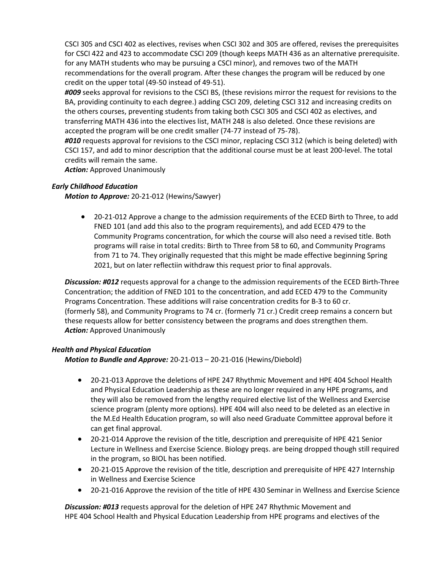CSCI 305 and CSCI 402 as electives, revises when CSCI 302 and 305 are offered, revises the prerequisites for CSCI 422 and 423 to accommodate CSCI 209 (though keeps MATH 436 as an alternative prerequisite. for any MATH students who may be pursuing a CSCI minor), and removes two of the MATH recommendations for the overall program. After these changes the program will be reduced by one credit on the upper total (49-50 instead of 49-51).

*#009* seeks approval for revisions to the CSCI BS, (these revisions mirror the request for revisions to the BA, providing continuity to each degree.) adding CSCI 209, deleting CSCI 312 and increasing credits on the others courses, preventing students from taking both CSCI 305 and CSCI 402 as electives, and transferring MATH 436 into the electives list, MATH 248 is also deleted. Once these revisions are accepted the program will be one credit smaller (74-77 instead of 75-78).

*#010* requests approval for revisions to the CSCI minor, replacing CSCI 312 (which is being deleted) with CSCI 157, and add to minor description that the additional course must be at least 200-level. The total credits will remain the same.

*Action:* Approved Unanimously

### *Early Childhood Education*

*Motion to Approve:* 20-21-012 (Hewins/Sawyer)

• 20-21-012 Approve a change to the admission requirements of the ECED Birth to Three, to add FNED 101 (and add this also to the program requirements), and add ECED 479 to the Community Programs concentration, for which the course will also need a revised title. Both programs will raise in total credits: Birth to Three from 58 to 60, and Community Programs from 71 to 74. They originally requested that this might be made effective beginning Spring 2021, but on later reflectiin withdraw this request prior to final approvals.

*Discussion: #012* requests approval for a change to the admission requirements of the ECED Birth-Three Concentration; the addition of FNED 101 to the concentration, and add ECED 479 to the Community Programs Concentration. These additions will raise concentration credits for B-3 to 60 cr. (formerly 58), and Community Programs to 74 cr. (formerly 71 cr.) Credit creep remains a concern but these requests allow for better consistency between the programs and does strengthen them. *Action:* Approved Unanimously

#### *Health and Physical Education*

*Motion to Bundle and Approve:* 20-21-013 – 20-21-016 (Hewins/Diebold)

- 20-21-013 Approve the deletions of HPE 247 Rhythmic Movement and HPE 404 School Health and Physical Education Leadership as these are no longer required in any HPE programs, and they will also be removed from the lengthy required elective list of the Wellness and Exercise science program (plenty more options). HPE 404 will also need to be deleted as an elective in the M.Ed Health Education program, so will also need Graduate Committee approval before it can get final approval.
- 20-21-014 Approve the revision of the title, description and prerequisite of HPE 421 Senior Lecture in Wellness and Exercise Science. Biology preqs. are being dropped though still required in the program, so BIOL has been notified.
- 20-21-015 Approve the revision of the title, description and prerequisite of HPE 427 Internship in Wellness and Exercise Science
- 20-21-016 Approve the revision of the title of HPE 430 Seminar in Wellness and Exercise Science

*Discussion: #013* requests approval for the deletion of HPE 247 Rhythmic Movement and HPE 404 School Health and Physical Education Leadership from HPE programs and electives of the